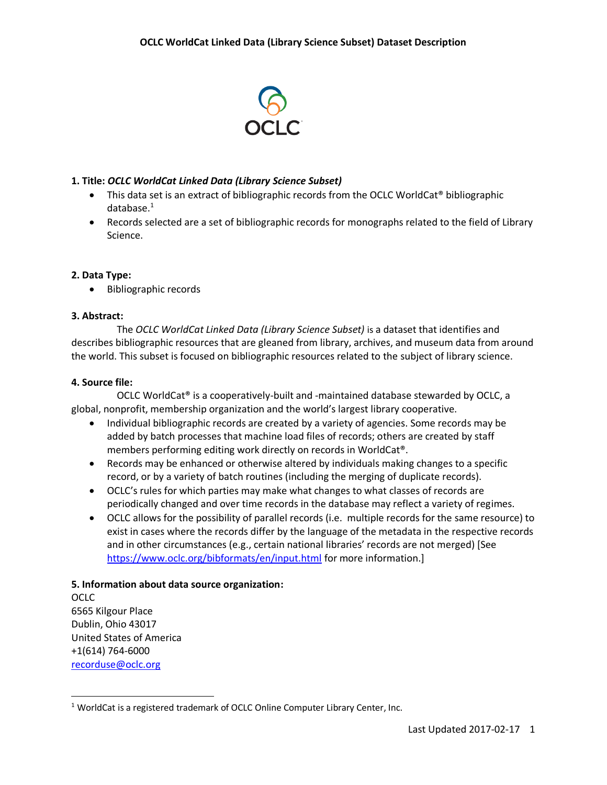

## **1. Title:** *OCLC WorldCat Linked Data (Library Science Subset)*

- This data set is an extract of bibliographic records from the OCLC WorldCat® bibliographic database. 1
- Records selected are a set of bibliographic records for monographs related to the field of Library Science.

# **2. Data Type:**

• Bibliographic records

## **3. Abstract:**

The *OCLC WorldCat Linked Data (Library Science Subset)* is a dataset that identifies and describes bibliographic resources that are gleaned from library, archives, and museum data from around the world. This subset is focused on bibliographic resources related to the subject of library science.

## **4. Source file:**

OCLC WorldCat® is a cooperatively-built and -maintained database stewarded by OCLC, a global, nonprofit, membership organization and the world's largest library cooperative.

- Individual bibliographic records are created by a variety of agencies. Some records may be added by batch processes that machine load files of records; others are created by staff members performing editing work directly on records in WorldCat®.
- Records may be enhanced or otherwise altered by individuals making changes to a specific record, or by a variety of batch routines (including the merging of duplicate records).
- OCLC's rules for which parties may make what changes to what classes of records are periodically changed and over time records in the database may reflect a variety of regimes.
- OCLC allows for the possibility of parallel records (i.e. multiple records for the same resource) to exist in cases where the records differ by the language of the metadata in the respective records and in other circumstances (e.g., certain national libraries' records are not merged) [See <https://www.oclc.org/bibformats/en/input.html> for more information.]

## **5. Information about data source organization:**

OCLC 6565 Kilgour Place Dublin, Ohio 43017 United States of America +1(614) 764-6000 [recorduse@oclc.org](mailto:recorduse@oclc.org)

 $\overline{\phantom{a}}$ <sup>1</sup> WorldCat is a registered trademark of OCLC Online Computer Library Center, Inc.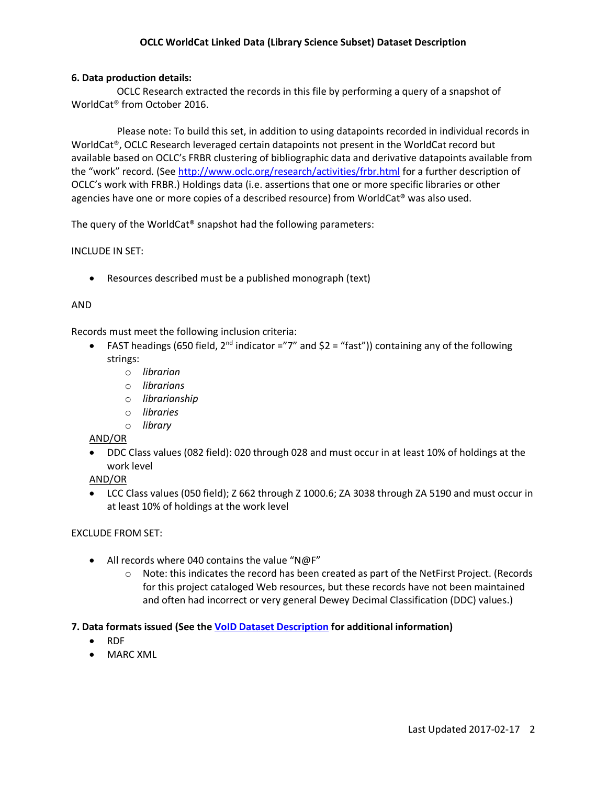## **OCLC WorldCat Linked Data (Library Science Subset) Dataset Description**

#### **6. Data production details:**

OCLC Research extracted the records in this file by performing a query of a snapshot of WorldCat® from October 2016.

Please note: To build this set, in addition to using datapoints recorded in individual records in WorldCat®, OCLC Research leveraged certain datapoints not present in the WorldCat record but available based on OCLC's FRBR clustering of bibliographic data and derivative datapoints available from the "work" record. (See <http://www.oclc.org/research/activities/frbr.html> for a further description of OCLC's work with FRBR.) Holdings data (i.e. assertions that one or more specific libraries or other agencies have one or more copies of a described resource) from WorldCat® was also used.

The query of the WorldCat® snapshot had the following parameters:

#### INCLUDE IN SET:

Resources described must be a published monograph (text)

### AND

Records must meet the following inclusion criteria:

- FAST headings (650 field, 2<sup>nd</sup> indicator ="7" and  $$2 = "fast")$  containing any of the following strings:
	- o *librarian*
	- o *librarians*
	- o *librarianship*
	- o *libraries*
	- o *library*

AND/OR

 DDC Class values (082 field): 020 through 028 and must occur in at least 10% of holdings at the work level

AND/OR

 LCC Class values (050 field); Z 662 through Z 1000.6; ZA 3038 through ZA 5190 and must occur in at least 10% of holdings at the work level

#### EXCLUDE FROM SET:

- All records where 040 contains the value "N@F"
	- $\circ$  Note: this indicates the record has been created as part of the NetFirst Project. (Records for this project cataloged Web resources, but these records have not been maintained and often had incorrect or very general Dewey Decimal Classification (DDC) values.)

## **7. Data formats issued (See th[e VoID Dataset Description](ftp://anonftp.oclc.org/pub/researchdata/libsci/void-WorldCatLibSci.html) for additional information)**

- RDF
- MARC XML